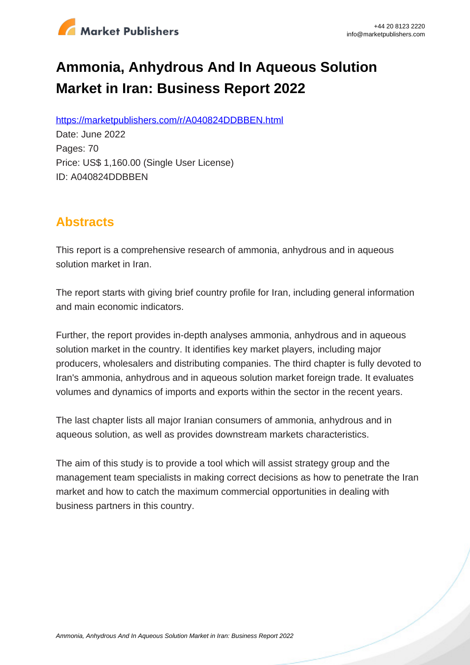

# **Ammonia, Anhydrous And In Aqueous Solution Market in Iran: Business Report 2022**

https://marketpublishers.com/r/A040824DDBBEN.html

Date: June 2022 Pages: 70 Price: US\$ 1,160.00 (Single User License) ID: A040824DDBBEN

## **Abstracts**

This report is a comprehensive research of ammonia, anhydrous and in aqueous solution market in Iran.

The report starts with giving brief country profile for Iran, including general information and main economic indicators.

Further, the report provides in-depth analyses ammonia, anhydrous and in aqueous solution market in the country. It identifies key market players, including major producers, wholesalers and distributing companies. The third chapter is fully devoted to Iran's ammonia, anhydrous and in aqueous solution market foreign trade. It evaluates volumes and dynamics of imports and exports within the sector in the recent years.

The last chapter lists all major Iranian consumers of ammonia, anhydrous and in aqueous solution, as well as provides downstream markets characteristics.

The aim of this study is to provide a tool which will assist strategy group and the management team specialists in making correct decisions as how to penetrate the Iran market and how to catch the maximum commercial opportunities in dealing with business partners in this country.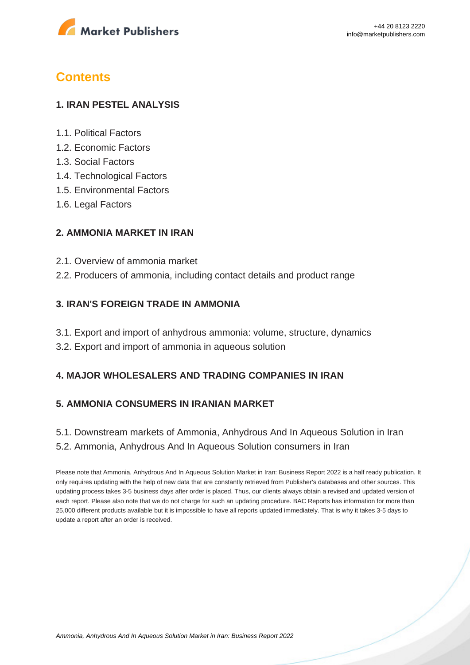

## **Contents**

#### **1. IRAN PESTEL ANALYSIS**

- 1.1. Political Factors
- 1.2. Economic Factors
- 1.3. Social Factors
- 1.4. Technological Factors
- 1.5. Environmental Factors
- 1.6. Legal Factors

#### **2. AMMONIA MARKET IN IRAN**

- 2.1. Overview of ammonia market
- 2.2. Producers of ammonia, including contact details and product range

#### **3. IRAN'S FOREIGN TRADE IN AMMONIA**

- 3.1. Export and import of anhydrous ammonia: volume, structure, dynamics
- 3.2. Export and import of ammonia in aqueous solution

#### **4. MAJOR WHOLESALERS AND TRADING COMPANIES IN IRAN**

#### **5. AMMONIA CONSUMERS IN IRANIAN MARKET**

5.1. Downstream markets of Ammonia, Anhydrous And In Aqueous Solution in Iran 5.2. Ammonia, Anhydrous And In Aqueous Solution consumers in Iran

Please note that Ammonia, Anhydrous And In Aqueous Solution Market in Iran: Business Report 2022 is a half ready publication. It only requires updating with the help of new data that are constantly retrieved from Publisher's databases and other sources. This updating process takes 3-5 business days after order is placed. Thus, our clients always obtain a revised and updated version of each report. Please also note that we do not charge for such an updating procedure. BAC Reports has information for more than 25,000 different products available but it is impossible to have all reports updated immediately. That is why it takes 3-5 days to update a report after an order is received.